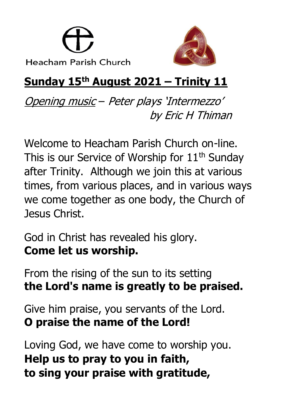



# **Sunday 15th August 2021 – Trinity 11**

Opening music – Peter plays 'Intermezzo' by Eric H Thiman

Welcome to Heacham Parish Church on-line. This is our Service of Worship for  $11<sup>th</sup>$  Sunday after Trinity. Although we join this at various times, from various places, and in various ways we come together as one body, the Church of Jesus Christ.

God in Christ has revealed his glory. **Come let us worship.**

From the rising of the sun to its setting **the Lord's name is greatly to be praised.**

Give him praise, you servants of the Lord. **O praise the name of the Lord!**

Loving God, we have come to worship you. **Help us to pray to you in faith, to sing your praise with gratitude,**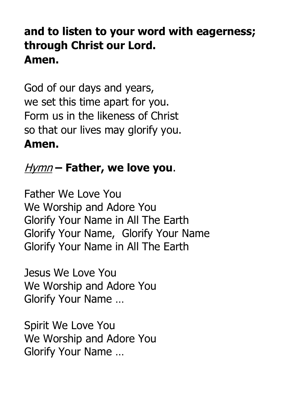### **and to listen to your word with eagerness; through Christ our Lord. Amen.**

God of our days and years, we set this time apart for you. Form us in the likeness of Christ so that our lives may glorify you. **Amen.**

#### Hymn **– Father, we love you**.

Father We Love You We Worship and Adore You Glorify Your Name in All The Earth Glorify Your Name, Glorify Your Name Glorify Your Name in All The Earth

Jesus We Love You We Worship and Adore You Glorify Your Name …

Spirit We Love You We Worship and Adore You Glorify Your Name …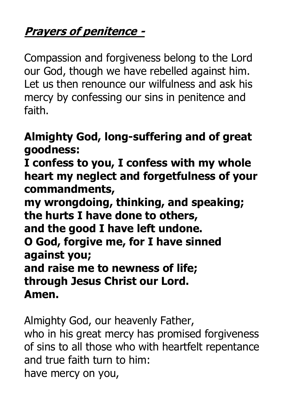### **Prayers of penitence -**

Compassion and forgiveness belong to the Lord our God, though we have rebelled against him. Let us then renounce our wilfulness and ask his mercy by confessing our sins in penitence and faith.

#### **Almighty God, long-suffering and of great goodness:**

**I confess to you, I confess with my whole heart my neglect and forgetfulness of your commandments,**

**my wrongdoing, thinking, and speaking; the hurts I have done to others, and the good I have left undone. O God, forgive me, for I have sinned against you; and raise me to newness of life; through Jesus Christ our Lord. Amen.**

Almighty God, our heavenly Father, who in his great mercy has promised forgiveness of sins to all those who with heartfelt repentance and true faith turn to him: have mercy on you,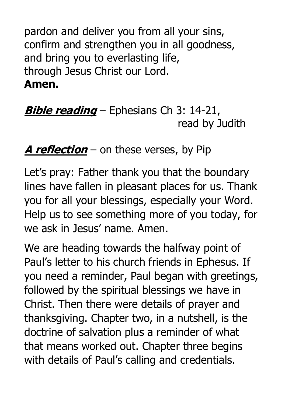pardon and deliver you from all your sins, confirm and strengthen you in all goodness, and bring you to everlasting life, through Jesus Christ our Lord. **Amen.**

**Bible reading** – Ephesians Ch 3: 14-21, read by Judith

### **A reflection** – on these verses, by Pip

Let's pray: Father thank you that the boundary lines have fallen in pleasant places for us. Thank you for all your blessings, especially your Word. Help us to see something more of you today, for we ask in Jesus' name. Amen.

We are heading towards the halfway point of Paul's letter to his church friends in Ephesus. If you need a reminder, Paul began with greetings, followed by the spiritual blessings we have in Christ. Then there were details of prayer and thanksgiving. Chapter two, in a nutshell, is the doctrine of salvation plus a reminder of what that means worked out. Chapter three begins with details of Paul's calling and credentials.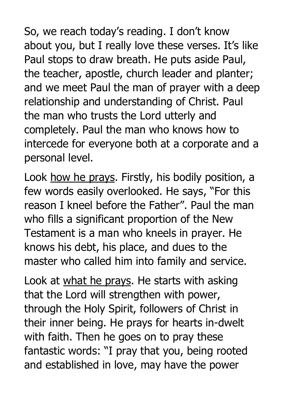So, we reach today's reading. I don't know about you, but I really love these verses. It's like Paul stops to draw breath. He puts aside Paul, the teacher, apostle, church leader and planter; and we meet Paul the man of prayer with a deep relationship and understanding of Christ. Paul the man who trusts the Lord utterly and completely. Paul the man who knows how to intercede for everyone both at a corporate and a personal level.

Look how he prays. Firstly, his bodily position, a few words easily overlooked. He says, "For this reason I kneel before the Father". Paul the man who fills a significant proportion of the New Testament is a man who kneels in prayer. He knows his debt, his place, and dues to the master who called him into family and service.

Look at what he prays. He starts with asking that the Lord will strengthen with power, through the Holy Spirit, followers of Christ in their inner being. He prays for hearts in-dwelt with faith. Then he goes on to pray these fantastic words: "I pray that you, being rooted and established in love, may have the power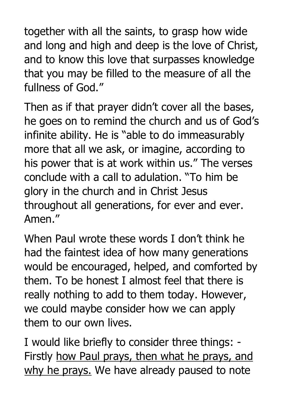together with all the saints, to grasp how wide and long and high and deep is the love of Christ, and to know this love that surpasses knowledge that you may be filled to the measure of all the fullness of God."

Then as if that prayer didn't cover all the bases, he goes on to remind the church and us of God's infinite ability. He is "able to do immeasurably more that all we ask, or imagine, according to his power that is at work within us." The verses conclude with a call to adulation. "To him be glory in the church and in Christ Jesus throughout all generations, for ever and ever. Amen."

When Paul wrote these words I don't think he had the faintest idea of how many generations would be encouraged, helped, and comforted by them. To be honest I almost feel that there is really nothing to add to them today. However, we could maybe consider how we can apply them to our own lives.

I would like briefly to consider three things: - Firstly how Paul prays, then what he prays, and why he prays. We have already paused to note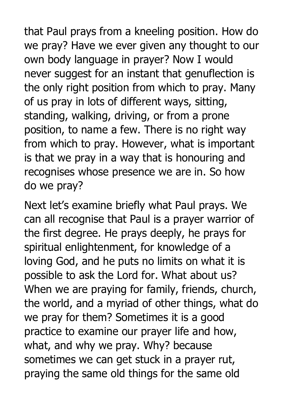that Paul prays from a kneeling position. How do we pray? Have we ever given any thought to our own body language in prayer? Now I would never suggest for an instant that genuflection is the only right position from which to pray. Many of us pray in lots of different ways, sitting, standing, walking, driving, or from a prone position, to name a few. There is no right way from which to pray. However, what is important is that we pray in a way that is honouring and recognises whose presence we are in. So how do we pray?

Next let's examine briefly what Paul prays. We can all recognise that Paul is a prayer warrior of the first degree. He prays deeply, he prays for spiritual enlightenment, for knowledge of a loving God, and he puts no limits on what it is possible to ask the Lord for. What about us? When we are praying for family, friends, church, the world, and a myriad of other things, what do we pray for them? Sometimes it is a good practice to examine our prayer life and how, what, and why we pray. Why? because sometimes we can get stuck in a prayer rut, praying the same old things for the same old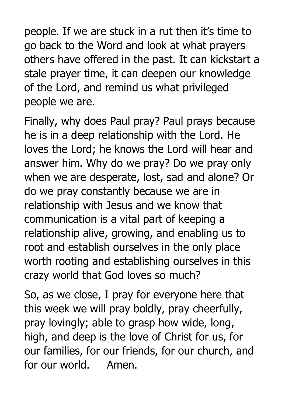people. If we are stuck in a rut then it's time to go back to the Word and look at what prayers others have offered in the past. It can kickstart a stale prayer time, it can deepen our knowledge of the Lord, and remind us what privileged people we are.

Finally, why does Paul pray? Paul prays because he is in a deep relationship with the Lord. He loves the Lord; he knows the Lord will hear and answer him. Why do we pray? Do we pray only when we are desperate, lost, sad and alone? Or do we pray constantly because we are in relationship with Jesus and we know that communication is a vital part of keeping a relationship alive, growing, and enabling us to root and establish ourselves in the only place worth rooting and establishing ourselves in this crazy world that God loves so much?

So, as we close, I pray for everyone here that this week we will pray boldly, pray cheerfully, pray lovingly; able to grasp how wide, long, high, and deep is the love of Christ for us, for our families, for our friends, for our church, and for our world. Amen.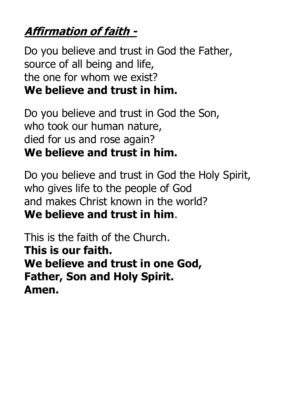# **Affirmation of faith -**

Do you believe and trust in God the Father, source of all being and life, the one for whom we exist? **We believe and trust in him.**

Do you believe and trust in God the Son, who took our human nature, died for us and rose again? **We believe and trust in him.**

Do you believe and trust in God the Holy Spirit, who gives life to the people of God and makes Christ known in the world? **We believe and trust in him**.

This is the faith of the Church. **This is our faith. We believe and trust in one God, Father, Son and Holy Spirit. Amen.**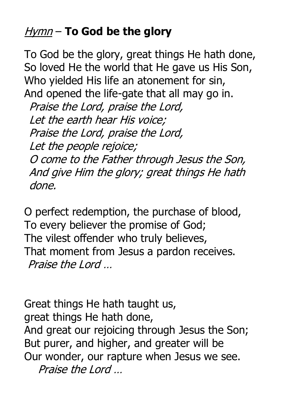### Hymn – **To God be the glory**

To God be the glory, great things He hath done, So loved He the world that He gave us His Son, Who yielded His life an atonement for sin, And opened the life-gate that all may go in. Praise the Lord, praise the Lord, Let the earth hear His voice; Praise the Lord, praise the Lord, Let the people rejoice;

O come to the Father through Jesus the Son, And give Him the glory; great things He hath done.

O perfect redemption, the purchase of blood, To every believer the promise of God; The vilest offender who truly believes, That moment from Jesus a pardon receives. Praise the Lord

Great things He hath taught us, great things He hath done, And great our rejoicing through Jesus the Son; But purer, and higher, and greater will be Our wonder, our rapture when Jesus we see. Praise the Lord …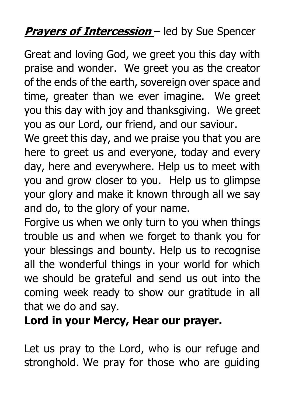#### **Prayers of Intercession** – led by Sue Spencer

Great and loving God, we greet you this day with praise and wonder. We greet you as the creator of the ends of the earth, sovereign over space and time, greater than we ever imagine. We greet you this day with joy and thanksgiving. We greet you as our Lord, our friend, and our saviour.

We greet this day, and we praise you that you are here to greet us and everyone, today and every day, here and everywhere. Help us to meet with you and grow closer to you. Help us to glimpse your glory and make it known through all we say and do, to the glory of your name.

Forgive us when we only turn to you when things trouble us and when we forget to thank you for your blessings and bounty. Help us to recognise all the wonderful things in your world for which we should be grateful and send us out into the coming week ready to show our gratitude in all that we do and say.

**Lord in your Mercy, Hear our prayer.**

Let us pray to the Lord, who is our refuge and stronghold. We pray for those who are guiding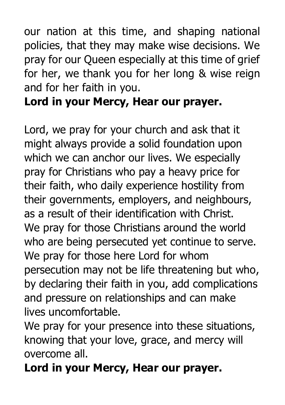our nation at this time, and shaping national policies, that they may make wise decisions. We pray for our Queen especially at this time of grief for her, we thank you for her long & wise reign and for her faith in you.

#### **Lord in your Mercy, Hear our prayer.**

Lord, we pray for your church and ask that it might always provide a solid foundation upon which we can anchor our lives. We especially pray for Christians who pay a heavy price for their faith, who daily experience hostility from their governments, employers, and neighbours, as a result of their identification with Christ. We pray for those Christians around the world who are being persecuted yet continue to serve. We pray for those here Lord for whom persecution may not be life threatening but who, by declaring their faith in you, add complications and pressure on relationships and can make lives uncomfortable.

We pray for your presence into these situations, knowing that your love, grace, and mercy will overcome all.

**Lord in your Mercy, Hear our prayer.**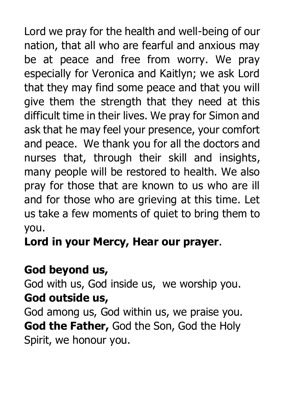Lord we pray for the health and well-being of our nation, that all who are fearful and anxious may be at peace and free from worry. We pray especially for Veronica and Kaitlyn; we ask Lord that they may find some peace and that you will give them the strength that they need at this difficult time in their lives. We pray for Simon and ask that he may feel your presence, your comfort and peace. We thank you for all the doctors and nurses that, through their skill and insights, many people will be restored to health. We also pray for those that are known to us who are ill and for those who are grieving at this time. Let us take a few moments of quiet to bring them to you.

**Lord in your Mercy, Hear our prayer**.

### **God beyond us,**

God with us, God inside us, we worship you. **God outside us,**

God among us, God within us, we praise you. **God the Father,** God the Son, God the Holy Spirit, we honour you.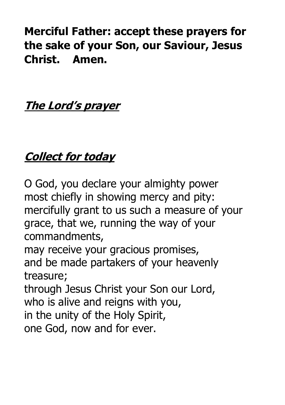**Merciful Father: accept these prayers for the sake of your Son, our Saviour, Jesus Christ. Amen.**

#### **The Lord's prayer**

# **Collect for today**

O God, you declare your almighty power most chiefly in showing mercy and pity: mercifully grant to us such a measure of your grace, that we, running the way of your commandments, may receive your gracious promises, and be made partakers of your heavenly treasure; through Jesus Christ your Son our Lord, who is alive and reigns with you, in the unity of the Holy Spirit, one God, now and for ever.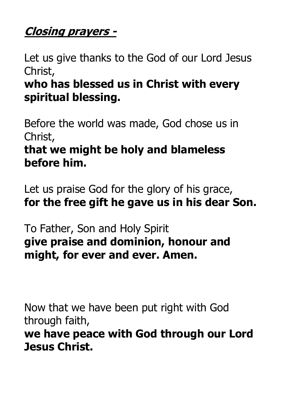#### **Closing prayers -**

Let us give thanks to the God of our Lord Jesus Christ,

### **who has blessed us in Christ with every spiritual blessing.**

Before the world was made, God chose us in Christ,

#### **that we might be holy and blameless before him.**

Let us praise God for the glory of his grace, **for the free gift he gave us in his dear Son.**

To Father, Son and Holy Spirit **give praise and dominion, honour and might, for ever and ever. Amen.**

Now that we have been put right with God through faith,

**we have peace with God through our Lord Jesus Christ.**